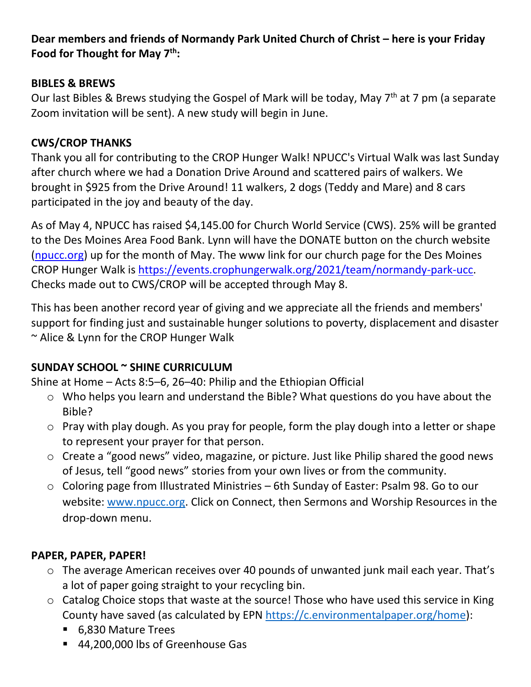### **Dear members and friends of Normandy Park United Church of Christ – here is your Friday Food for Thought for May 7th:**

### **BIBLES & BREWS**

Our last Bibles & Brews studying the Gospel of Mark will be today, May 7<sup>th</sup> at 7 pm (a separate Zoom invitation will be sent). A new study will begin in June.

### **CWS/CROP THANKS**

Thank you all for contributing to the CROP Hunger Walk! NPUCC's Virtual Walk was last Sunday after church where we had a Donation Drive Around and scattered pairs of walkers. We brought in \$925 from the Drive Around! 11 walkers, 2 dogs (Teddy and Mare) and 8 cars participated in the joy and beauty of the day.

As of May 4, NPUCC has raised \$4,145.00 for Church World Service (CWS). 25% will be granted to the Des Moines Area Food Bank. Lynn will have the DONATE button on the church website [\(npucc.org\)](http://npucc.org/) up for the month of May. The www link for our church page for the Des Moines CROP Hunger Walk is [https://events.crophungerwalk.org/2021/team/normandy-park-ucc.](https://events.crophungerwalk.org/2021/team/normandy-park-ucc) Checks made out to CWS/CROP will be accepted through May 8.

This has been another record year of giving and we appreciate all the friends and members' support for finding just and sustainable hunger solutions to poverty, displacement and disaster ~ Alice & Lynn for the CROP Hunger Walk

## **SUNDAY SCHOOL ~ SHINE CURRICULUM**

Shine at Home – Acts 8:5–6, 26–40: Philip and the Ethiopian Official

- o Who helps you learn and understand the Bible? What questions do you have about the Bible?
- o Pray with play dough. As you pray for people, form the play dough into a letter or shape to represent your prayer for that person.
- o Create a "good news" video, magazine, or picture. Just like Philip shared the good news of Jesus, tell "good news" stories from your own lives or from the community.
- o Coloring page from Illustrated Ministries 6th Sunday of Easter: Psalm 98. Go to our website: [www.npucc.org.](http://www.npucc.org/) Click on Connect, then Sermons and Worship Resources in the drop-down menu.

## **PAPER, PAPER, PAPER!**

- o The average American receives over 40 pounds of unwanted junk mail each year. That's a lot of paper going straight to your recycling bin.
- o Catalog Choice stops that waste at the source! Those who have used this service in King County have saved (as calculated by EPN [https://c.environmentalpaper.org/home\)](https://c.environmentalpaper.org/home):
	- 6,830 Mature Trees
	- 44,200,000 lbs of Greenhouse Gas